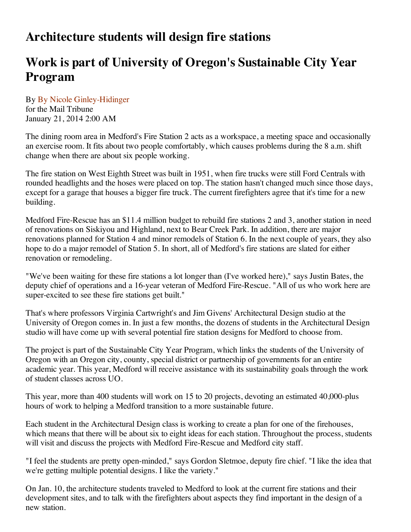## **Architecture students will design fire stations**

## **Work is part of University of Oregon's Sustainable City Year Program**

By By Nicole Ginley-Hidinger for the Mail Tribune January 21, 2014 2:00 AM

The dining room area in Medford's Fire Station 2 acts as a workspace, a meeting space and occasionally an exercise room. It fits about two people comfortably, which causes problems during the 8 a.m. shift change when there are about six people working.

The fire station on West Eighth Street was built in 1951, when fire trucks were still Ford Centrals with rounded headlights and the hoses were placed on top. The station hasn't changed much since those days, except for a garage that houses a bigger fire truck. The current firefighters agree that it's time for a new building.

Medford Fire-Rescue has an \$11.4 million budget to rebuild fire stations 2 and 3, another station in need of renovations on Siskiyou and Highland, next to Bear Creek Park. In addition, there are major renovations planned for Station 4 and minor remodels of Station 6. In the next couple of years, they also hope to do a major remodel of Station 5. In short, all of Medford's fire stations are slated for either renovation or remodeling.

"We've been waiting for these fire stations a lot longer than (I've worked here)," says Justin Bates, the deputy chief of operations and a 16-year veteran of Medford Fire-Rescue. "All of us who work here are super-excited to see these fire stations get built."

That's where professors Virginia Cartwright's and Jim Givens' Architectural Design studio at the University of Oregon comes in. In just a few months, the dozens of students in the Architectural Design studio will have come up with several potential fire station designs for Medford to choose from.

The project is part of the Sustainable City Year Program, which links the students of the University of Oregon with an Oregon city, county, special district or partnership of governments for an entire academic year. This year, Medford will receive assistance with its sustainability goals through the work of student classes across UO.

This year, more than 400 students will work on 15 to 20 projects, devoting an estimated 40,000-plus hours of work to helping a Medford transition to a more sustainable future.

Each student in the Architectural Design class is working to create a plan for one of the firehouses, which means that there will be about six to eight ideas for each station. Throughout the process, students will visit and discuss the projects with Medford Fire-Rescue and Medford city staff.

"I feel the students are pretty open-minded," says Gordon Sletmoe, deputy fire chief. "I like the idea that we're getting multiple potential designs. I like the variety."

On Jan. 10, the architecture students traveled to Medford to look at the current fire stations and their development sites, and to talk with the firefighters about aspects they find important in the design of a new station.